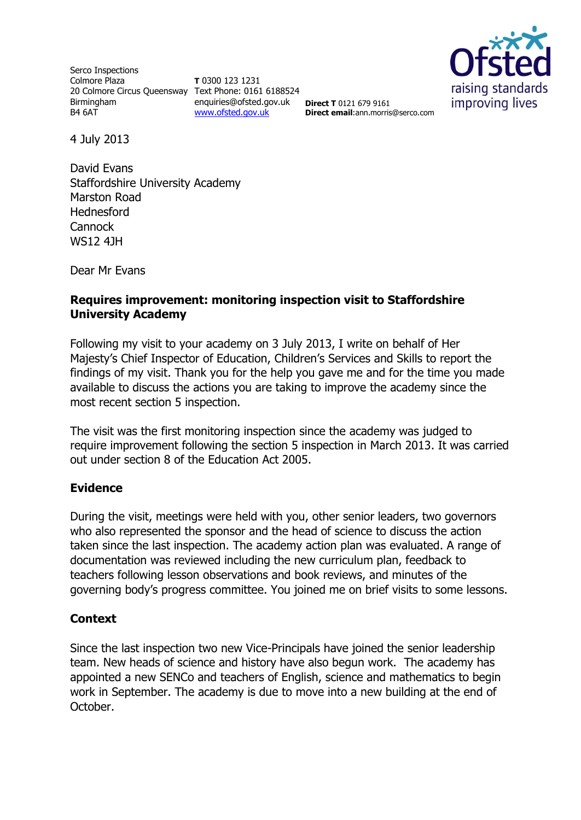Serco Inspections Colmore Plaza 20 Colmore Circus Queensway Text Phone: 0161 6188524 Birmingham B4 6AT

**T** 0300 123 1231 enquiries@ofsted.gov.uk [www.ofsted.gov.uk](http://www.ofsted.gov.uk/)



**Direct T** 0121 679 9161 **Direct email**:ann.morris@serco.com

4 July 2013

David Evans Staffordshire University Academy Marston Road Hednesford **Cannock** WS12 4JH

Dear Mr Evans

### **Requires improvement: monitoring inspection visit to Staffordshire University Academy**

Following my visit to your academy on 3 July 2013, I write on behalf of Her Majesty's Chief Inspector of Education, Children's Services and Skills to report the findings of my visit. Thank you for the help you gave me and for the time you made available to discuss the actions you are taking to improve the academy since the most recent section 5 inspection.

The visit was the first monitoring inspection since the academy was judged to require improvement following the section 5 inspection in March 2013. It was carried out under section 8 of the Education Act 2005.

#### **Evidence**

During the visit, meetings were held with you, other senior leaders, two governors who also represented the sponsor and the head of science to discuss the action taken since the last inspection. The academy action plan was evaluated. A range of documentation was reviewed including the new curriculum plan, feedback to teachers following lesson observations and book reviews, and minutes of the governing body's progress committee. You joined me on brief visits to some lessons.

# **Context**

Since the last inspection two new Vice-Principals have joined the senior leadership team. New heads of science and history have also begun work. The academy has appointed a new SENCo and teachers of English, science and mathematics to begin work in September. The academy is due to move into a new building at the end of October.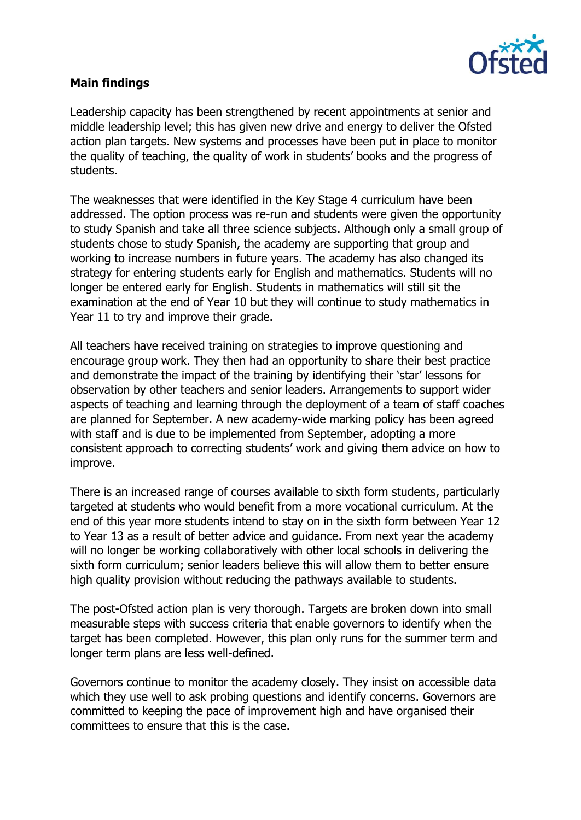

#### **Main findings**

Leadership capacity has been strengthened by recent appointments at senior and middle leadership level; this has given new drive and energy to deliver the Ofsted action plan targets. New systems and processes have been put in place to monitor the quality of teaching, the quality of work in students' books and the progress of students.

The weaknesses that were identified in the Key Stage 4 curriculum have been addressed. The option process was re-run and students were given the opportunity to study Spanish and take all three science subjects. Although only a small group of students chose to study Spanish, the academy are supporting that group and working to increase numbers in future years. The academy has also changed its strategy for entering students early for English and mathematics. Students will no longer be entered early for English. Students in mathematics will still sit the examination at the end of Year 10 but they will continue to study mathematics in Year 11 to try and improve their grade.

All teachers have received training on strategies to improve questioning and encourage group work. They then had an opportunity to share their best practice and demonstrate the impact of the training by identifying their 'star' lessons for observation by other teachers and senior leaders. Arrangements to support wider aspects of teaching and learning through the deployment of a team of staff coaches are planned for September. A new academy-wide marking policy has been agreed with staff and is due to be implemented from September, adopting a more consistent approach to correcting students' work and giving them advice on how to improve.

There is an increased range of courses available to sixth form students, particularly targeted at students who would benefit from a more vocational curriculum. At the end of this year more students intend to stay on in the sixth form between Year 12 to Year 13 as a result of better advice and guidance. From next year the academy will no longer be working collaboratively with other local schools in delivering the sixth form curriculum; senior leaders believe this will allow them to better ensure high quality provision without reducing the pathways available to students.

The post-Ofsted action plan is very thorough. Targets are broken down into small measurable steps with success criteria that enable governors to identify when the target has been completed. However, this plan only runs for the summer term and longer term plans are less well-defined.

Governors continue to monitor the academy closely. They insist on accessible data which they use well to ask probing questions and identify concerns. Governors are committed to keeping the pace of improvement high and have organised their committees to ensure that this is the case.